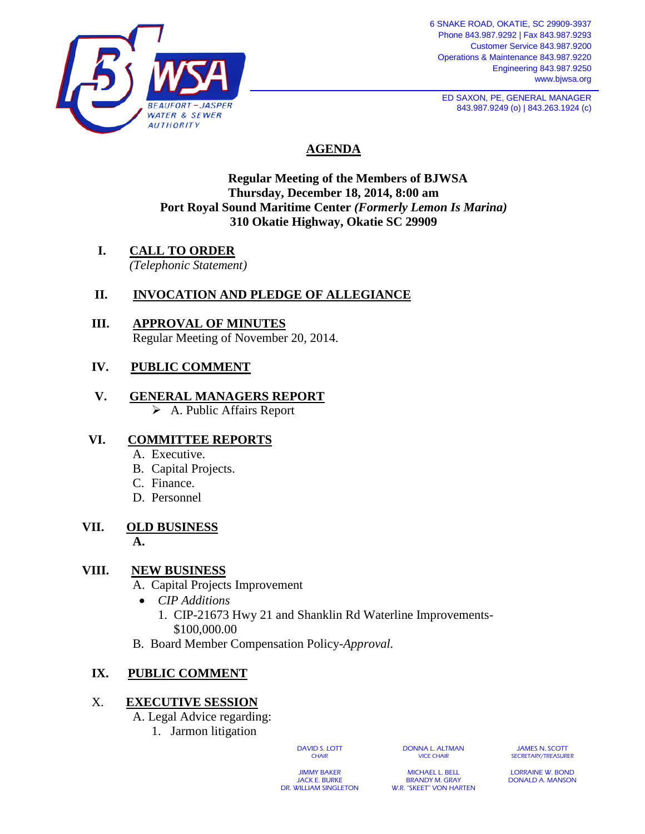

6 SNAKE ROAD, OKATIE, SC 29909-3937 Phone 843.987.9292 | Fax 843.987.9293 Customer Service 843.987.9200 Operations & Maintenance 843.987.9220 Engineering 843.987.9250 www.bjwsa.org

**ED SAXON, PE, GENERAL MANAGER** 843.987.9249 (o) | 843.263.1924 (c)

# **AGENDA**

# **Regular Meeting of the Members of BJWSA Thursday, December 18, 2014, 8:00 am Port Royal Sound Maritime Center** *(Formerly Lemon Is Marina)* **310 Okatie Highway, Okatie SC 29909**

**I. CALL TO ORDER** *(Telephonic Statement)*

# **II. INVOCATION AND PLEDGE OF ALLEGIANCE**

 **III. APPROVAL OF MINUTES** Regular Meeting of November 20, 2014.

# **IV. PUBLIC COMMENT**

 **V. GENERAL MANAGERS REPORT**  $\triangleright$  A. Public Affairs Report

# **VI. COMMITTEE REPORTS**

- A. Executive.
- B. Capital Projects.
- C. Finance.
- D. Personnel

#### **VII. OLD BUSINESS**  $\mathbf{A}$  .

# **VIII. NEW BUSINESS**

- A. Capital Projects Improvement
	- *CIP Additions*
		- 1. CIP-21673 Hwy 21 and Shanklin Rd Waterline Improvements- \$100,000.00
- B. Board Member Compensation Policy-*Approval.*

# **IX. PUBLIC COMMENT**

# X. **EXECUTIVE SESSION**

- A. Legal Advice regarding:
	- 1. Jarmon litigation

DAVID S. LOTT **CHAIR** 

DONNA L. ALTMAN VICE CHAIR

JAMES N. SCOTT SECRETARY/TREASURER

JIMMY BAKER JACK E. BURKE DR. WILLIAM SINGLETON

MICHAEL L. BELL BRANDY M. GRAY W.R. "SKEET" VON HARTEN

LORRAINE W. BOND DONALD A. MANSON